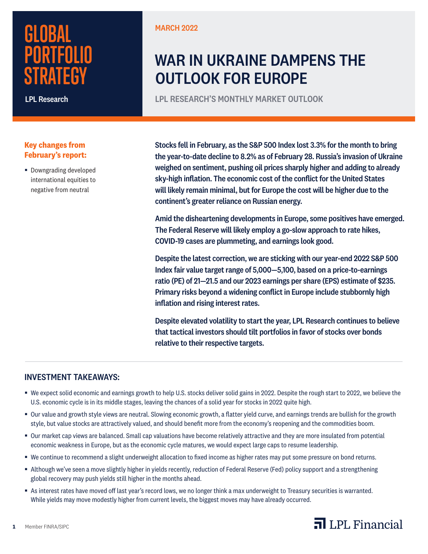# **GLOBAL PORTFOLIO STRATEGY**

LPL Research

# **Key changes from February's report:**

■ Downgrading developed international equities to negative from neutral

MARCH 2022

# WAR IN UKRAINE DAMPENS THE OUTLOOK FOR EUROPE

LPL RESEARCH'S MONTHLY MARKET OUTLOOK

Stocks fell in February, as the S&P 500 Index lost 3.3% for the month to bring the year-to-date decline to 8.2% as of February 28. Russia's invasion of Ukraine weighed on sentiment, pushing oil prices sharply higher and adding to already sky-high inflation. The economic cost of the conflict for the United States will likely remain minimal, but for Europe the cost will be higher due to the continent's greater reliance on Russian energy.

Amid the disheartening developments in Europe, some positives have emerged. The Federal Reserve will likely employ a go-slow approach to rate hikes, COVID-19 cases are plummeting, and earnings look good.

Despite the latest correction, we are sticking with our year-end 2022 S&P 500 Index fair value target range of 5,000—5,100, based on a price-to-earnings ratio (PE) of 21—21.5 and our 2023 earnings per share (EPS) estimate of \$235. Primary risks beyond a widening conflict in Europe include stubbornly high inflation and rising interest rates.

Despite elevated volatility to start the year, LPL Research continues to believe that tactical investors should tilt portfolios in favor of stocks over bonds relative to their respective targets.

# INVESTMENT TAKEAWAYS:

**1** Member FINRA/SIPC

- § We expect solid economic and earnings growth to help U.S. stocks deliver solid gains in 2022. Despite the rough start to 2022, we believe the U.S. economic cycle is in its middle stages, leaving the chances of a solid year for stocks in 2022 quite high.
- § Our value and growth style views are neutral. Slowing economic growth, a flatter yield curve, and earnings trends are bullish for the growth style, but value stocks are attractively valued, and should benefit more from the economy's reopening and the commodities boom.
- § Our market cap views are balanced. Small cap valuations have become relatively attractive and they are more insulated from potential economic weakness in Europe, but as the economic cycle matures, we would expect large caps to resume leadership.
- § We continue to recommend a slight underweight allocation to fixed income as higher rates may put some pressure on bond returns.
- § Although we've seen a move slightly higher in yields recently, reduction of Federal Reserve (Fed) policy support and a strengthening global recovery may push yields still higher in the months ahead.
- § As interest rates have moved off last year's record lows, we no longer think a max underweight to Treasury securities is warranted. While yields may move modestly higher from current levels, the biggest moves may have already occurred.

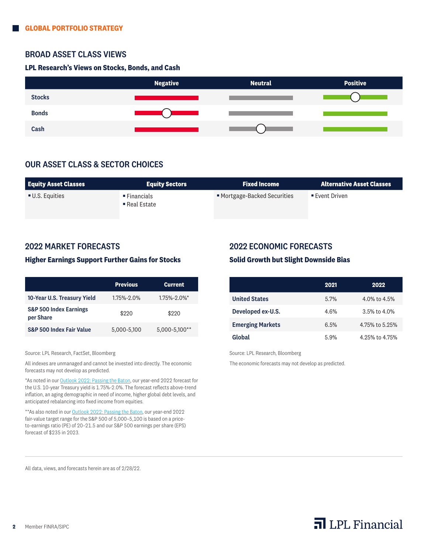### BROAD ASSET CLASS VIEWS

#### **LPL Research's Views on Stocks, Bonds, and Cash**



# OUR ASSET CLASS & SECTOR CHOICES

| <b>Equity Asset Classes</b> | <b>Equity Sectors</b>                                   | <b>Fixed Income</b>          | <b>Alternative Asset Classes</b> |
|-----------------------------|---------------------------------------------------------|------------------------------|----------------------------------|
| ■ U.S. Equities             | $\blacksquare$ Financials<br>$\blacksquare$ Real Estate | ■ Mortgage-Backed Securities | $\blacksquare$ Event Driven      |

### 2022 MARKET FORECASTS

#### **Higher Earnings Support Further Gains for Stocks**

|                                                | <b>Previous</b> | <b>Current</b> |
|------------------------------------------------|-----------------|----------------|
| 10-Year U.S. Treasury Yield                    | 1.75%-2.0%      | 1.75%-2.0%*    |
| <b>S&amp;P 500 Index Earnings</b><br>per Share | \$220           | \$220          |
| S&P 500 Index Fair Value                       | 5,000-5,100     | 5,000-5,100**  |

Source: LPL Research, FactSet, Bloomberg

All indexes are unmanaged and cannot be invested into directly. The economic forecasts may not develop as predicted.

\*As noted in our **Outlook 2022: Passing the Baton**, our year-end 2022 forecast for the U.S. 10-year Treasury yield is 1.75%-2.0%. The forecast reflects above-trend inflation, an aging demographic in need of income, higher global debt levels, and anticipated rebalancing into fixed income from equities.

\*\*As also noted in our **Outlook 2022: Passing the Baton**, our year-end 2022 fair-value target range for the S&P 500 of 5,000–5,100 is based on a priceto-earnings ratio (PE) of 20–21.5 and our S&P 500 earnings per share (EPS) forecast of \$235 in 2023.

### 2022 ECONOMIC FORECASTS

#### **Solid Growth but Slight Downside Bias**

|                         | 2021 | 2022               |
|-------------------------|------|--------------------|
| <b>United States</b>    | 5.7% | $4.0\%$ to $4.5\%$ |
| Developed ex-U.S.       | 4.6% | $3.5\%$ to $4.0\%$ |
| <b>Emerging Markets</b> | 6.5% | 4.75% to 5.25%     |
| Global                  | 5.9% | 4.25% to 4.75%     |

Source: LPL Research, Bloomberg

The economic forecasts may not develop as predicted.

All data, views, and forecasts herein are as of 2/28/22.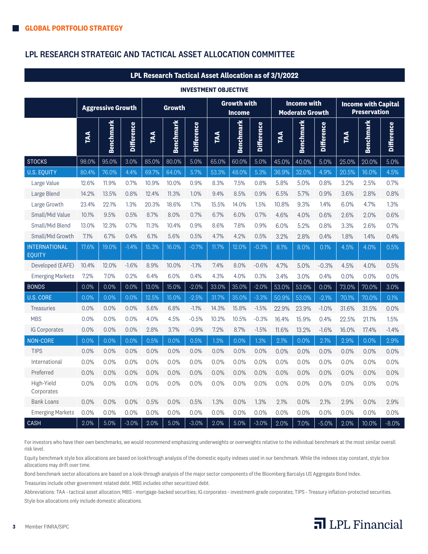# LPL RESEARCH STRATEGIC AND TACTICAL ASSET ALLOCATION COMMITTEE

#### **LPL Research Tactical Asset Allocation as of 3/1/2022**

#### **INVESTMENT OBJECTIVE**

|                                                                                                                                                                                                                                                                                                                                                                                                                                                                                                                                      | <b>Aggressive Growth</b> |                  |                   | <b>Growth</b> |                  |                   | <b>Growth with</b><br><b>Income</b> |                  |                   | <b>Income with</b><br><b>Moderate Growth</b> |                  |                   | <b>Income with Capital</b><br><b>Preservation</b> |                  |                   |
|--------------------------------------------------------------------------------------------------------------------------------------------------------------------------------------------------------------------------------------------------------------------------------------------------------------------------------------------------------------------------------------------------------------------------------------------------------------------------------------------------------------------------------------|--------------------------|------------------|-------------------|---------------|------------------|-------------------|-------------------------------------|------------------|-------------------|----------------------------------------------|------------------|-------------------|---------------------------------------------------|------------------|-------------------|
|                                                                                                                                                                                                                                                                                                                                                                                                                                                                                                                                      | TAA                      | <b>Benchmark</b> | <b>Difference</b> | TAA           | <b>Benchmark</b> | <b>Difference</b> | FAA                                 | <b>Benchmark</b> | <b>Difference</b> | TAA                                          | <b>Benchmark</b> | <b>Difference</b> | TAA                                               | <b>Benchmark</b> | <b>Difference</b> |
| <b>STOCKS</b>                                                                                                                                                                                                                                                                                                                                                                                                                                                                                                                        | 98.0%                    | 95.0%            | 3.0%              | 85.0%         | 80.0%            | 5.0%              | 65.0%                               | 60.0%            | 5.0%              | 45.0%                                        | 40.0%            | 5.0%              | 25.0%                                             | 20.0%            | 5.0%              |
| <b>U.S. EQUITY</b>                                                                                                                                                                                                                                                                                                                                                                                                                                                                                                                   | 80.4%                    | 76.0%            | 4.4%              | 69.7%         | 64.0%            | 5.7%              | 53.3%                               | 48.0%            | 5.3%              | 36.9%                                        | 32.0%            | 4.9%              | 20.5%                                             | 16.0%            | 4.5%              |
| Large Value                                                                                                                                                                                                                                                                                                                                                                                                                                                                                                                          | 12.6%                    | 11.9%            | 0.7%              | 10.9%         | 10.0%            | 0.9%              | 8.3%                                | 7.5%             | 0.8%              | 5.8%                                         | 5.0%             | 0.8%              | 3.2%                                              | 2.5%             | 0.7%              |
| Large Blend                                                                                                                                                                                                                                                                                                                                                                                                                                                                                                                          | 14.2%                    | 13.5%            | 0.8%              | 12.4%         | 11.3%            | 1.0%              | 9.4%                                | 8.5%             | 0.9%              | 6.5%                                         | 5.7%             | 0.9%              | 3.6%                                              | 2.8%             | 0.8%              |
| Large Growth                                                                                                                                                                                                                                                                                                                                                                                                                                                                                                                         | 23.4%                    | 22.1%            | 1.3%              | 20.3%         | 18.6%            | 1.7%              | 15.5%                               | 14.0%            | 1.5%              | 10.8%                                        | 9.3%             | 1.4%              | 6.0%                                              | 4.7%             | 1.3%              |
| Small/Mid Value                                                                                                                                                                                                                                                                                                                                                                                                                                                                                                                      | 10.1%                    | 9.5%             | 0.5%              | 8.7%          | 8.0%             | 0.7%              | 6.7%                                | 6.0%             | 0.7%              | 4.6%                                         | 4.0%             | 0.6%              | 2.6%                                              | 2.0%             | 0.6%              |
| Small/Mid Blend                                                                                                                                                                                                                                                                                                                                                                                                                                                                                                                      | 13.0%                    | 12.3%            | 0.7%              | 11.3%         | 10.4%            | 0.9%              | 8.6%                                | 7.8%             | 0.9%              | 6.0%                                         | 5.2%             | 0.8%              | 3.3%                                              | 2.6%             | 0.7%              |
| Small/Mid Growth                                                                                                                                                                                                                                                                                                                                                                                                                                                                                                                     | 7.1%                     | 6.7%             | 0.4%              | 6.1%          | 5.6%             | 0.5%              | 4.7%                                | 4.2%             | 0.5%              | 3.2%                                         | 2.8%             | 0.4%              | 1.8%                                              | 1.4%             | 0.4%              |
| <b>INTERNATIONAL</b><br><b>EQUITY</b>                                                                                                                                                                                                                                                                                                                                                                                                                                                                                                | 17.6%                    | 19.0%            | $-1.4%$           | 15.3%         | 16.0%            | $-0.7%$           | 11.7%                               | 12.0%            | $-0.3%$           | 8.1%                                         | 8.0%             | 0.1%              | 4.5%                                              | 4.0%             | 0.5%              |
| Developed (EAFE)                                                                                                                                                                                                                                                                                                                                                                                                                                                                                                                     | 10.4%                    | 12.0%            | $-1.6%$           | 8.9%          | 10.0%            | $-1.1%$           | 7.4%                                | 8.0%             | $-0.6%$           | 4.7%                                         | 5.0%             | $-0.3%$           | 4.5%                                              | 4.0%             | 0.5%              |
| <b>Emerging Markets</b>                                                                                                                                                                                                                                                                                                                                                                                                                                                                                                              | 7.2%                     | 7.0%             | 0.2%              | 6.4%          | 6.0%             | 0.4%              | 4.3%                                | 4.0%             | 0.3%              | 3.4%                                         | 3.0%             | 0.4%              | 0.0%                                              | 0.0%             | 0.0%              |
| <b>BONDS</b>                                                                                                                                                                                                                                                                                                                                                                                                                                                                                                                         | 0.0%                     | 0.0%             | 0.0%              | 13.0%         | 15.0%            | $-2.0%$           | 33.0%                               | 35.0%            | $-2.0%$           | 53.0%                                        | 53.0%            | 0.0%              | 73.0%                                             | 70.0%            | 3.0%              |
| <b>U.S. CORE</b>                                                                                                                                                                                                                                                                                                                                                                                                                                                                                                                     | 0.0%                     | 0.0%             | 0.0%              | 12.5%         | 15.0%            | $-2.5%$           | 31.7%                               | 35.0%            | $-3.3%$           | 50.9%                                        | 53.0%            | $-2.1%$           | 70.1%                                             | 70.0%            | 0.1%              |
| <b>Treasuries</b>                                                                                                                                                                                                                                                                                                                                                                                                                                                                                                                    | 0.0%                     | 0.0%             | 0.0%              | 5.6%          | 6.8%             | $-1.1%$           | 14.3%                               | 15.8%            | $-1.5%$           | 22.9%                                        | 23.9%            | $-1.0%$           | 31.6%                                             | 31.5%            | 0.0%              |
| <b>MBS</b>                                                                                                                                                                                                                                                                                                                                                                                                                                                                                                                           | 0.0%                     | 0.0%             | 0.0%              | 4.0%          | 4.5%             | $-0.5%$           | 10.2%                               | 10.5%            | $-0.3%$           | 16.4%                                        | 15.9%            | 0.4%              | 22.5%                                             | 21.1%            | 1.5%              |
| <b>IG Corporates</b>                                                                                                                                                                                                                                                                                                                                                                                                                                                                                                                 | 0.0%                     | 0.0%             | 0.0%              | 2.8%          | 3.7%             | $-0.9%$           | 7.2%                                | 8.7%             | $-1.5%$           | 11.6%                                        | 13.2%            | $-1.6%$           | 16.0%                                             | 17.4%            | $-1.4%$           |
| NON-CORE                                                                                                                                                                                                                                                                                                                                                                                                                                                                                                                             | 0.0%                     | 0.0%             | 0.0%              | 0.5%          | 0.0%             | 0.5%              | 1.3%                                | 0.0%             | 1.3%              | 2.1%                                         | 0.0%             | 2.1%              | 2.9%                                              | 0.0%             | 2.9%              |
| <b>TIPS</b>                                                                                                                                                                                                                                                                                                                                                                                                                                                                                                                          | 0.0%                     | 0.0%             | 0.0%              | 0.0%          | 0.0%             | 0.0%              | 0.0%                                | 0.0%             | 0.0%              | 0.0%                                         | 0.0%             | 0.0%              | 0.0%                                              | 0.0%             | 0.0%              |
| International                                                                                                                                                                                                                                                                                                                                                                                                                                                                                                                        | 0.0%                     | 0.0%             | 0.0%              | 0.0%          | 0.0%             | 0.0%              | 0.0%                                | 0.0%             | 0.0%              | 0.0%                                         | 0.0%             | 0.0%              | 0.0%                                              | 0.0%             | 0.0%              |
| Preferred                                                                                                                                                                                                                                                                                                                                                                                                                                                                                                                            | 0.0%                     | 0.0%             | 0.0%              | 0.0%          | 0.0%             | 0.0%              | 0.0%                                | 0.0%             | 0.0%              | 0.0%                                         | 0.0%             | 0.0%              | 0.0%                                              | 0.0%             | 0.0%              |
| High-Yield<br>Corporates                                                                                                                                                                                                                                                                                                                                                                                                                                                                                                             | 0.0%                     | 0.0%             | 0.0%              | 0.0%          | 0.0%             | 0.0%              | 0.0%                                | 0.0%             | 0.0%              | 0.0%                                         | 0.0%             | 0.0%              | 0.0%                                              | 0.0%             | 0.0%              |
| <b>Bank Loans</b>                                                                                                                                                                                                                                                                                                                                                                                                                                                                                                                    | 0.0%                     | 0.0%             | 0.0%              | 0.5%          | 0.0%             | 0.5%              | 1.3%                                | 0.0%             | 1.3%              | 2.1%                                         | 0.0%             | 2.1%              | 2.9%                                              | 0.0%             | 2.9%              |
| <b>Emerging Markets</b>                                                                                                                                                                                                                                                                                                                                                                                                                                                                                                              | 0.0%                     | 0.0%             | 0.0%              | 0.0%          | 0.0%             | 0.0%              | 0.0%                                | 0.0%             | 0.0%              | 0.0%                                         | 0.0%             | 0.0%              | 0.0%                                              | 0.0%             | 0.0%              |
| <b>CASH</b>                                                                                                                                                                                                                                                                                                                                                                                                                                                                                                                          | 2.0%                     | 5.0%             | $-3.0%$           | 2.0%          | 5.0%             | $-3.0%$           | 2.0%                                | 5.0%             | $-3.0%$           | 2.0%                                         | 7.0%             | $-5.0%$           | 2.0%                                              | 10.0%            | $-8.0%$           |
| For investors who have their own benchmarks, we would recommend emphasizing underweights or overweights relative to the individual benchmark at the most similar overall<br>risk level.<br>Equity benchmark style box allocations are based on lookthrough analysis of the domestic equity indexes used in our benchmark. While the indexes stay constant, style box                                                                                                                                                                 |                          |                  |                   |               |                  |                   |                                     |                  |                   |                                              |                  |                   |                                                   |                  |                   |
| allocations may drift over time.<br>Bond benchmark sector allocations are based on a look-through analysis of the major sector components of the Bloomberg Barcalys US Aggregate Bond Index.<br>Treasuries include other government related debt. MBS includes other securitized debt.<br>Abbreviations: TAA - tactical asset allocation; MBS - mortgage-backed securities; IG corporates - investment-grade corporates; TIPS - Treasury inflation-protected securities.<br>Style box allocations only include domestic allocations. |                          |                  |                   |               |                  |                   |                                     |                  |                   |                                              |                  |                   |                                                   |                  |                   |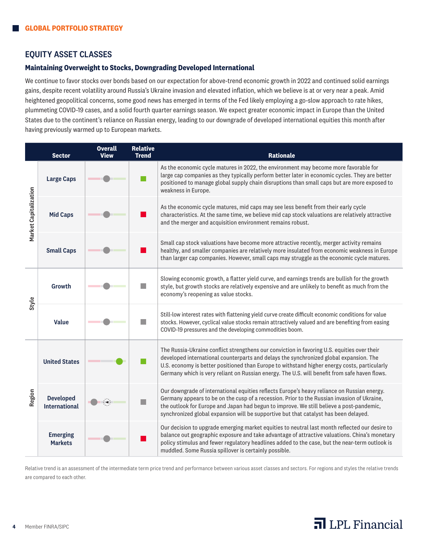### EQUITY ASSET CLASSES

#### **Maintaining Overweight to Stocks, Downgrading Developed International**

We continue to favor stocks over bonds based on our expectation for above-trend economic growth in 2022 and continued solid earnings gains, despite recent volatility around Russia's Ukraine invasion and elevated inflation, which we believe is at or very near a peak. Amid heightened geopolitical concerns, some good news has emerged in terms of the Fed likely employing a go-slow approach to rate hikes, plummeting COVID-19 cases, and a solid fourth quarter earnings season. We expect greater economic impact in Europe than the United States due to the continent's reliance on Russian energy, leading to our downgrade of developed international equities this month after having previously warmed up to European markets.

|                       | <b>Sector</b>                            | <b>Overall</b><br><b>View</b> | <b>Relative</b><br><b>Trend</b> | <b>Rationale</b>                                                                                                                                                                                                                                                                                                                                                                       |
|-----------------------|------------------------------------------|-------------------------------|---------------------------------|----------------------------------------------------------------------------------------------------------------------------------------------------------------------------------------------------------------------------------------------------------------------------------------------------------------------------------------------------------------------------------------|
| Market Capitalization | <b>Large Caps</b>                        |                               |                                 | As the economic cycle matures in 2022, the environment may become more favorable for<br>large cap companies as they typically perform better later in economic cycles. They are better<br>positioned to manage global supply chain disruptions than small caps but are more exposed to<br>weakness in Europe.                                                                          |
|                       | <b>Mid Caps</b>                          |                               |                                 | As the economic cycle matures, mid caps may see less benefit from their early cycle<br>characteristics. At the same time, we believe mid cap stock valuations are relatively attractive<br>and the merger and acquisition environment remains robust.                                                                                                                                  |
|                       | <b>Small Caps</b>                        |                               |                                 | Small cap stock valuations have become more attractive recently, merger activity remains<br>healthy, and smaller companies are relatively more insulated from economic weakness in Europe<br>than larger cap companies. However, small caps may struggle as the economic cycle matures.                                                                                                |
| Style                 | Growth                                   |                               |                                 | Slowing economic growth, a flatter yield curve, and earnings trends are bullish for the growth<br>style, but growth stocks are relatively expensive and are unlikely to benefit as much from the<br>economy's reopening as value stocks.                                                                                                                                               |
|                       | <b>Value</b>                             |                               |                                 | Still-low interest rates with flattening yield curve create difficult economic conditions for value<br>stocks. However, cyclical value stocks remain attractively valued and are benefiting from easing<br>COVID-19 pressures and the developing commodities boom.                                                                                                                     |
| Region                | <b>United States</b>                     |                               |                                 | The Russia-Ukraine conflict strengthens our conviction in favoring U.S. equities over their<br>developed international counterparts and delays the synchronized global expansion. The<br>U.S. economy is better positioned than Europe to withstand higher energy costs, particularly<br>Germany which is very reliant on Russian energy. The U.S. will benefit from safe haven flows. |
|                       | <b>Developed</b><br><b>International</b> |                               |                                 | Our downgrade of international equities reflects Europe's heavy reliance on Russian energy.<br>Germany appears to be on the cusp of a recession. Prior to the Russian invasion of Ukraine,<br>the outlook for Europe and Japan had begun to improve. We still believe a post-pandemic,<br>synchronized global expansion will be supportive but that catalyst has been delayed.         |
|                       | <b>Emerging</b><br><b>Markets</b>        |                               |                                 | Our decision to upgrade emerging market equities to neutral last month reflected our desire to<br>balance out geographic exposure and take advantage of attractive valuations. China's monetary<br>policy stimulus and fewer regulatory headlines added to the case, but the near-term outlook is<br>muddled. Some Russia spillover is certainly possible.                             |

Relative trend is an assessment of the intermediate term price trend and performance between various asset classes and sectors. For regions and styles the relative trends are compared to each other.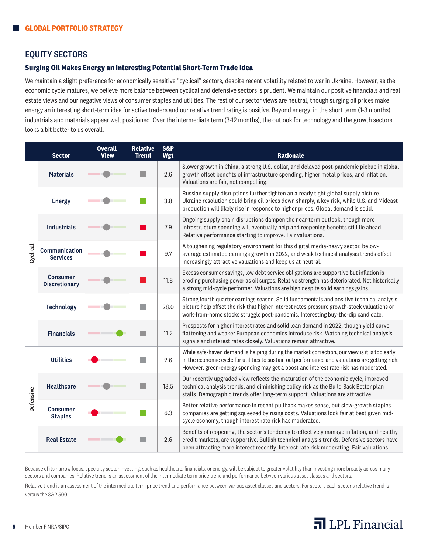## EQUITY SECTORS

#### **Surging Oil Makes Energy an Interesting Potential Short-Term Trade Idea**

We maintain a slight preference for economically sensitive "cyclical" sectors, despite recent volatility related to war in Ukraine. However, as the economic cycle matures, we believe more balance between cyclical and defensive sectors is prudent. We maintain our positive financials and real estate views and our negative views of consumer staples and utilities. The rest of our sector views are neutral, though surging oil prices make energy an interesting short-term idea for active traders and our relative trend rating is positive. Beyond energy, in the short term (1-3 months) industrials and materials appear well positioned. Over the intermediate term (3-12 months), the outlook for technology and the growth sectors looks a bit better to us overall.

|           | <b>Sector</b>                           | <b>Overall</b><br><b>View</b> | <b>Relative</b><br><b>Trend</b> | <b>S&amp;P</b><br>Wgt | <b>Rationale</b>                                                                                                                                                                                                                                                                       |
|-----------|-----------------------------------------|-------------------------------|---------------------------------|-----------------------|----------------------------------------------------------------------------------------------------------------------------------------------------------------------------------------------------------------------------------------------------------------------------------------|
| Cyclical  | <b>Materials</b>                        |                               |                                 | 2.6                   | Slower growth in China, a strong U.S. dollar, and delayed post-pandemic pickup in global<br>growth offset benefits of infrastructure spending, higher metal prices, and inflation.<br>Valuations are fair, not compelling.                                                             |
|           | <b>Energy</b>                           |                               |                                 | 3.8                   | Russian supply disruptions further tighten an already tight global supply picture.<br>Ukraine resolution could bring oil prices down sharply, a key risk, while U.S. and Mideast<br>production will likely rise in response to higher prices. Global demand is solid.                  |
|           | <b>Industrials</b>                      |                               |                                 | 7.9                   | Ongoing supply chain disruptions dampen the near-term outlook, though more<br>infrastructure spending will eventually help and reopening benefits still lie ahead.<br>Relative performance starting to improve. Fair valuations.                                                       |
|           | <b>Communication</b><br><b>Services</b> |                               |                                 | 9.7                   | A toughening regulatory environment for this digital media-heavy sector, below-<br>average estimated earnings growth in 2022, and weak technical analysis trends offset<br>increasingly attractive valuations and keep us at neutral.                                                  |
|           | <b>Consumer</b><br><b>Discretionary</b> |                               |                                 | 11.8                  | Excess consumer savings, low debt service obligations are supportive but inflation is<br>eroding purchasing power as oil surges. Relative strength has deteriorated. Not historically<br>a strong mid-cycle performer. Valuations are high despite solid earnings gains.               |
|           | <b>Technology</b>                       |                               |                                 | 28.0                  | Strong fourth quarter earnings season. Solid fundamentals and positive technical analysis<br>picture help offset the risk that higher interest rates pressure growth-stock valuations or<br>work-from-home stocks struggle post-pandemic. Interesting buy-the-dip candidate.           |
|           | <b>Financials</b>                       |                               |                                 | 11.2                  | Prospects for higher interest rates and solid loan demand in 2022, though yield curve<br>flattening and weaker European economies introduce risk. Watching technical analysis<br>signals and interest rates closely. Valuations remain attractive.                                     |
|           | <b>Utilities</b>                        |                               |                                 | 2.6                   | While safe-haven demand is helping during the market correction, our view is it is too early<br>in the economic cycle for utilities to sustain outperformance and valuations are getting rich.<br>However, green-energy spending may get a boost and interest rate risk has moderated. |
| Defensive | <b>Healthcare</b>                       |                               |                                 | 13.5                  | Our recently upgraded view reflects the maturation of the economic cycle, improved<br>technical analysis trends, and diminishing policy risk as the Build Back Better plan<br>stalls. Demographic trends offer long-term support. Valuations are attractive.                           |
|           | <b>Consumer</b><br><b>Staples</b>       |                               |                                 | 6.3                   | Better relative performance in recent pullback makes sense, but slow-growth staples<br>companies are getting squeezed by rising costs. Valuations look fair at best given mid-<br>cycle economy, though interest rate risk has moderated.                                              |
|           | <b>Real Estate</b>                      |                               |                                 | 2.6                   | Benefits of reopening, the sector's tendency to effectively manage inflation, and healthy<br>credit markets, are supportive. Bullish technical analysis trends. Defensive sectors have<br>been attracting more interest recently. Interest rate risk moderating. Fair valuations.      |

Because of its narrow focus, specialty sector investing, such as healthcare, financials, or energy, will be subject to greater volatility than investing more broadly across many sectors and companies. Relative trend is an assessment of the intermediate term price trend and performance between various asset classes and sectors.

Relative trend is an assessment of the intermediate term price trend and performance between various asset classes and sectors. For sectors each sector's relative trend is versus the S&P 500.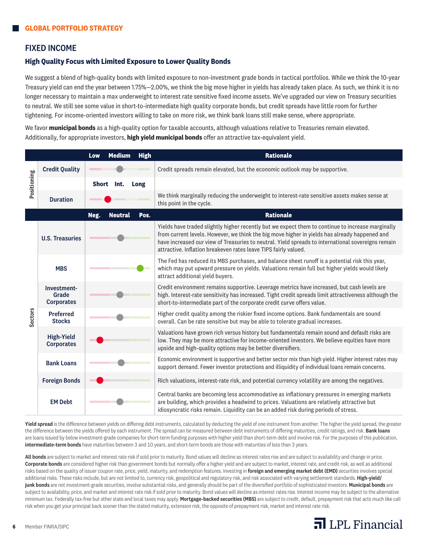### FIXED INCOME

#### **High Quality Focus with Limited Exposure to Lower Quality Bonds**

We suggest a blend of high-quality bonds with limited exposure to non-investment grade bonds in tactical portfolios. While we think the 10-year Treasury yield can end the year between 1.75%—2.00%, we think the big move higher in yields has already taken place. As such, we think it is no longer necessary to maintain a max underweight to interest rate sensitive fixed income assets. We've upgraded our view on Treasury securities to neutral. We still see some value in short-to-intermediate high quality corporate bonds, but credit spreads have little room for further tightening. For income-oriented investors willing to take on more risk, we think bank loans still make sense, where appropriate.

We favor **municipal bonds** as a high-quality option for taxable accounts, although valuations relative to Treasuries remain elevated. Additionally, for appropriate investors, **high yield municipal bonds** offer an attractive tax-equivalent yield.

|                |                                           | <b>High</b><br>Low<br><b>Medium</b> | <b>Rationale</b>                                                                                                                                                                                                                                                                                                                                                            |  |  |  |  |  |
|----------------|-------------------------------------------|-------------------------------------|-----------------------------------------------------------------------------------------------------------------------------------------------------------------------------------------------------------------------------------------------------------------------------------------------------------------------------------------------------------------------------|--|--|--|--|--|
| Positioning    | <b>Credit Quality</b>                     |                                     | Credit spreads remain elevated, but the economic outlook may be supportive.                                                                                                                                                                                                                                                                                                 |  |  |  |  |  |
|                |                                           | Short Int.<br>Long                  |                                                                                                                                                                                                                                                                                                                                                                             |  |  |  |  |  |
|                | <b>Duration</b>                           |                                     | We think marginally reducing the underweight to interest-rate sensitive assets makes sense at<br>this point in the cycle.                                                                                                                                                                                                                                                   |  |  |  |  |  |
|                |                                           | Neg.<br>Pos.<br><b>Neutral</b>      | <b>Rationale</b>                                                                                                                                                                                                                                                                                                                                                            |  |  |  |  |  |
|                | <b>U.S. Treasuries</b>                    |                                     | Yields have traded slightly higher recently but we expect them to continue to increase marginally<br>from current levels. However, we think the big move higher in yields has already happened and<br>have increased our view of Treasuries to neutral. Yield spreads to international sovereigns remain<br>attractive. Inflation breakeven rates leave TIPS fairly valued. |  |  |  |  |  |
|                | <b>MBS</b>                                |                                     | The Fed has reduced its MBS purchases, and balance sheet runoff is a potential risk this year,<br>which may put upward pressure on yields. Valuations remain full but higher yields would likely<br>attract additional yield buyers.                                                                                                                                        |  |  |  |  |  |
|                | Investment-<br>Grade<br><b>Corporates</b> |                                     | Credit environment remains supportive. Leverage metrics have increased, but cash levels are<br>high. Interest-rate sensitivity has increased. Tight credit spreads limit attractiveness although the<br>short-to-intermediate part of the corporate credit curve offers value.                                                                                              |  |  |  |  |  |
| <b>Sectors</b> | <b>Preferred</b><br><b>Stocks</b>         |                                     | Higher credit quality among the riskier fixed income options. Bank fundamentals are sound<br>overall. Can be rate sensitive but may be able to tolerate gradual increases.                                                                                                                                                                                                  |  |  |  |  |  |
|                | <b>High-Yield</b><br><b>Corporates</b>    |                                     | Valuations have grown rich versus history but fundamentals remain sound and default risks are<br>low. They may be more attractive for income-oriented investors. We believe equities have more<br>upside and high-quality options may be better diversifiers.                                                                                                               |  |  |  |  |  |
|                | <b>Bank Loans</b>                         |                                     | Economic environment is supportive and better sector mix than high yield. Higher interest rates may<br>support demand. Fewer investor protections and illiquidity of individual loans remain concerns.                                                                                                                                                                      |  |  |  |  |  |
|                | <b>Foreign Bonds</b>                      |                                     | Rich valuations, interest-rate risk, and potential currency volatility are among the negatives.                                                                                                                                                                                                                                                                             |  |  |  |  |  |
|                | <b>EM Debt</b>                            |                                     | Central banks are becoming less accommodative as inflationary pressures in emerging markets<br>are building, which provides a headwind to prices. Valuations are relatively attractive but<br>idiosyncratic risks remain. Liquidity can be an added risk during periods of stress.                                                                                          |  |  |  |  |  |

Yield spread is the difference between yields on differing debt instruments, calculated by deducting the yield of one instrument from another. The higher the yield spread, the greater the difference between the yields offered by each instrument. The spread can be measured between debt instruments of differing maturities, credit ratings, and risk. Bank loans are loans issued by below investment-grade companies for short-term funding purposes with higher yield than short-term debt and involve risk. For the purposes of this publication, intermediate-term bonds have maturities between 3 and 10 years, and short-term bonds are those with maturities of less than 3 years.

All bonds are subject to market and interest rate risk if sold prior to maturity. Bond values will decline as interest rates rise and are subject to availability and change in price. Corporate bonds are considered higher risk than government bonds but normally offer a higher yield and are subject to market, interest rate, and credit risk, as well as additional risks based on the quality of issuer coupon rate, price, yield, maturity, and redemption features. Investing in foreign and emerging market debt (EMD) securities involves special additional risks. These risks include, but are not limited to, currency risk, geopolitical and regulatory risk, and risk associated with varying settlement standards. High-yield/ junk bonds are not investment-grade securities, involve substantial risks, and generally should be part of the diversified portfolio of sophisticated investors. Municipal bonds are subject to availability, price, and market and interest rate risk if sold prior to maturity. Bond values will decline as interest rates rise. Interest income may be subject to the alternative minimum tax. Federally tax-free but other state and local taxes may apply. Mortgage-backed securities (MBS) are subject to credit, default, prepayment risk that acts much like call risk when you get your principal back sooner than the stated maturity, extension risk, the opposite of prepayment risk, market and interest rate risk.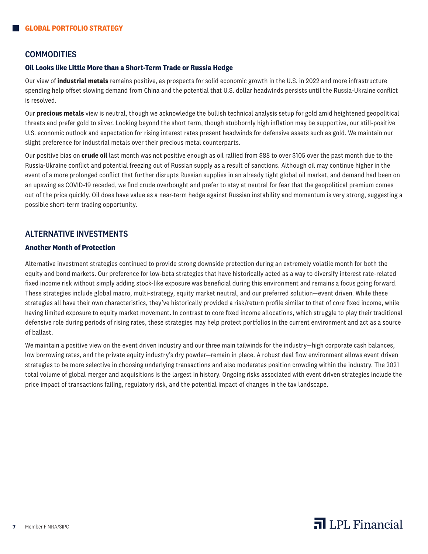### **COMMODITIES**

#### **Oil Looks like Little More than a Short-Term Trade or Russia Hedge**

Our view of **industrial metals** remains positive, as prospects for solid economic growth in the U.S. in 2022 and more infrastructure spending help offset slowing demand from China and the potential that U.S. dollar headwinds persists until the Russia-Ukraine conflict is resolved.

Our **precious metals** view is neutral, though we acknowledge the bullish technical analysis setup for gold amid heightened geopolitical threats and prefer gold to silver. Looking beyond the short term, though stubbornly high inflation may be supportive, our still-positive U.S. economic outlook and expectation for rising interest rates present headwinds for defensive assets such as gold. We maintain our slight preference for industrial metals over their precious metal counterparts.

Our positive bias on **crude oil** last month was not positive enough as oil rallied from \$88 to over \$105 over the past month due to the Russia-Ukraine conflict and potential freezing out of Russian supply as a result of sanctions. Although oil may continue higher in the event of a more prolonged conflict that further disrupts Russian supplies in an already tight global oil market, and demand had been on an upswing as COVID-19 receded, we find crude overbought and prefer to stay at neutral for fear that the geopolitical premium comes out of the price quickly. Oil does have value as a near-term hedge against Russian instability and momentum is very strong, suggesting a possible short-term trading opportunity.

## ALTERNATIVE INVESTMENTS

#### **Another Month of Protection**

Alternative investment strategies continued to provide strong downside protection during an extremely volatile month for both the equity and bond markets. Our preference for low-beta strategies that have historically acted as a way to diversify interest rate-related fixed income risk without simply adding stock-like exposure was beneficial during this environment and remains a focus going forward. These strategies include global macro, multi-strategy, equity market neutral, and our preferred solution—event driven. While these strategies all have their own characteristics, they've historically provided a risk/return profile similar to that of core fixed income, while having limited exposure to equity market movement. In contrast to core fixed income allocations, which struggle to play their traditional defensive role during periods of rising rates, these strategies may help protect portfolios in the current environment and act as a source of ballast.

We maintain a positive view on the event driven industry and our three main tailwinds for the industry—high corporate cash balances, low borrowing rates, and the private equity industry's dry powder—remain in place. A robust deal flow environment allows event driven strategies to be more selective in choosing underlying transactions and also moderates position crowding within the industry. The 2021 total volume of global merger and acquisitions is the largest in history. Ongoing risks associated with event driven strategies include the price impact of transactions failing, regulatory risk, and the potential impact of changes in the tax landscape.